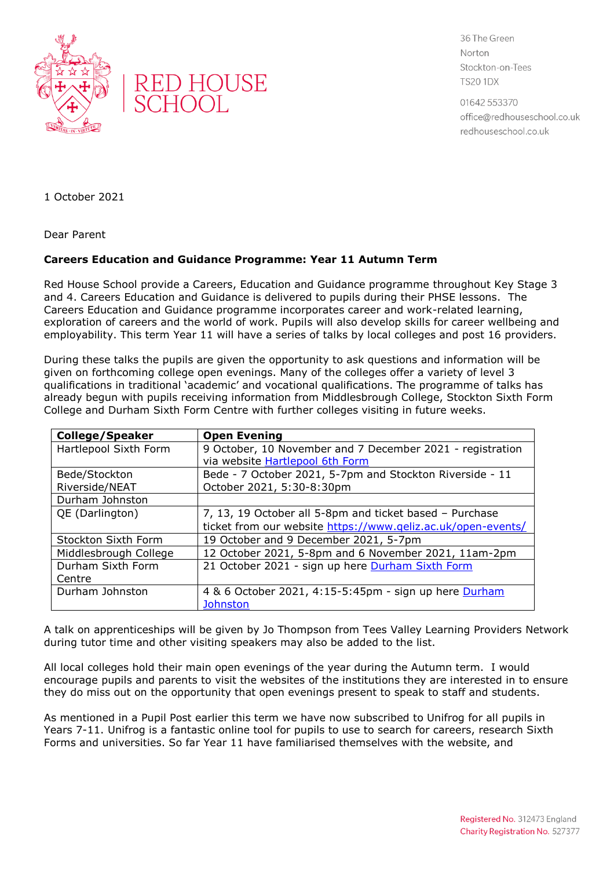



36 The Green Norton Stockton-on-Tees **TS20 1DX** 

01642 553370 office@redhouseschool.co.uk redhouseschool.co.uk

1 October 2021

Dear Parent

## **Careers Education and Guidance Programme: Year 11 Autumn Term**

Red House School provide a Careers, Education and Guidance programme throughout Key Stage 3 and 4. Careers Education and Guidance is delivered to pupils during their PHSE lessons. The Careers Education and Guidance programme incorporates career and work-related learning, exploration of careers and the world of work. Pupils will also develop skills for career wellbeing and employability. This term Year 11 will have a series of talks by local colleges and post 16 providers.

During these talks the pupils are given the opportunity to ask questions and information will be given on forthcoming college open evenings. Many of the colleges offer a variety of level 3 qualifications in traditional 'academic' and vocational qualifications. The programme of talks has already begun with pupils receiving information from Middlesbrough College, Stockton Sixth Form College and Durham Sixth Form Centre with further colleges visiting in future weeks.

| <b>College/Speaker</b> | <b>Open Evening</b>                                          |
|------------------------|--------------------------------------------------------------|
| Hartlepool Sixth Form  | 9 October, 10 November and 7 December 2021 - registration    |
|                        | via website Hartlepool 6th Form                              |
| Bede/Stockton          | Bede - 7 October 2021, 5-7pm and Stockton Riverside - 11     |
| Riverside/NEAT         | October 2021, 5:30-8:30pm                                    |
| Durham Johnston        |                                                              |
| QE (Darlington)        | 7, 13, 19 October all 5-8pm and ticket based - Purchase      |
|                        | ticket from our website https://www.geliz.ac.uk/open-events/ |
| Stockton Sixth Form    | 19 October and 9 December 2021, 5-7pm                        |
| Middlesbrough College  | 12 October 2021, 5-8pm and 6 November 2021, 11am-2pm         |
| Durham Sixth Form      | 21 October 2021 - sign up here Durham Sixth Form             |
| Centre                 |                                                              |
| Durham Johnston        | 4 & 6 October 2021, 4:15-5:45pm - sign up here Durham        |
|                        | <b>Johnston</b>                                              |

A talk on apprenticeships will be given by Jo Thompson from Tees Valley Learning Providers Network during tutor time and other visiting speakers may also be added to the list.

All local colleges hold their main open evenings of the year during the Autumn term. I would encourage pupils and parents to visit the websites of the institutions they are interested in to ensure they do miss out on the opportunity that open evenings present to speak to staff and students.

As mentioned in a Pupil Post earlier this term we have now subscribed to Unifrog for all pupils in Years 7-11. Unifrog is a fantastic online tool for pupils to use to search for careers, research Sixth Forms and universities. So far Year 11 have familiarised themselves with the website, and